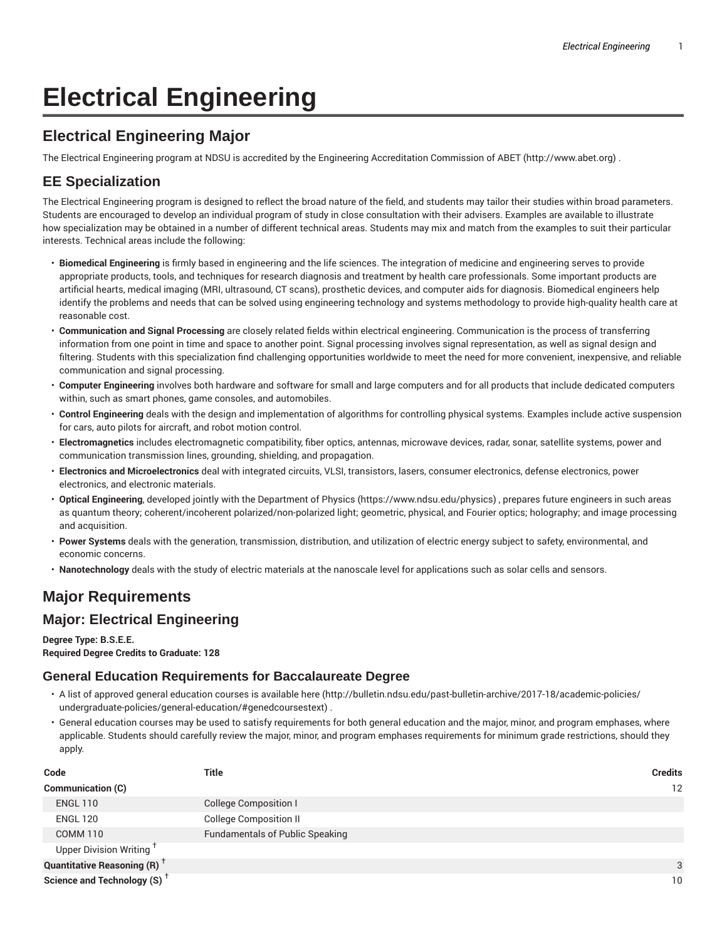# **Electrical Engineering**

## **Electrical Engineering Major**

The Electrical Engineering program at NDSU is accredited by the Engineering Accreditation Commission of ABET (http://www.abet.org) .

## **EE Specialization**

The Electrical Engineering program is designed to reflect the broad nature of the field, and students may tailor their studies within broad parameters. Students are encouraged to develop an individual program of study in close consultation with their advisers. Examples are available to illustrate how specialization may be obtained in a number of different technical areas. Students may mix and match from the examples to suit their particular interests. Technical areas include the following:

- **Biomedical Engineering** is firmly based in engineering and the life sciences. The integration of medicine and engineering serves to provide appropriate products, tools, and techniques for research diagnosis and treatment by health care professionals. Some important products are artificial hearts, medical imaging (MRI, ultrasound, CT scans), prosthetic devices, and computer aids for diagnosis. Biomedical engineers help identify the problems and needs that can be solved using engineering technology and systems methodology to provide high-quality health care at reasonable cost.
- **Communication and Signal Processing** are closely related fields within electrical engineering. Communication is the process of transferring information from one point in time and space to another point. Signal processing involves signal representation, as well as signal design and filtering. Students with this specialization find challenging opportunities worldwide to meet the need for more convenient, inexpensive, and reliable communication and signal processing.
- **Computer Engineering** involves both hardware and software for small and large computers and for all products that include dedicated computers within, such as smart phones, game consoles, and automobiles.
- **Control Engineering** deals with the design and implementation of algorithms for controlling physical systems. Examples include active suspension for cars, auto pilots for aircraft, and robot motion control.
- **Electromagnetics** includes electromagnetic compatibility, fiber optics, antennas, microwave devices, radar, sonar, satellite systems, power and communication transmission lines, grounding, shielding, and propagation.
- **Electronics and Microelectronics** deal with integrated circuits, VLSI, transistors, lasers, consumer electronics, defense electronics, power electronics, and electronic materials.
- **Optical Engineering**, developed jointly with the Department of Physics (https://www.ndsu.edu/physics) , prepares future engineers in such areas as quantum theory; coherent/incoherent polarized/non-polarized light; geometric, physical, and Fourier optics; holography; and image processing and acquisition.
- **Power Systems** deals with the generation, transmission, distribution, and utilization of electric energy subject to safety, environmental, and economic concerns.
- **Nanotechnology** deals with the study of electric materials at the nanoscale level for applications such as solar cells and sensors.

## **Major Requirements**

#### **Major: Electrical Engineering**

#### **Degree Type: B.S.E.E.**

**Required Degree Credits to Graduate: 128**

#### **General Education Requirements for Baccalaureate Degree**

- A list of approved general education courses is available here (http://bulletin.ndsu.edu/past-bulletin-archive/2017-18/academic-policies/ undergraduate-policies/general-education/#genedcoursestext) .
- General education courses may be used to satisfy requirements for both general education and the major, minor, and program emphases, where applicable. Students should carefully review the major, minor, and program emphases requirements for minimum grade restrictions, should they apply.

| Code                                           | Title                                  | <b>Credits</b> |
|------------------------------------------------|----------------------------------------|----------------|
| <b>Communication (C)</b>                       |                                        | 12             |
| <b>ENGL 110</b>                                | College Composition I                  |                |
| <b>ENGL 120</b>                                | <b>College Composition II</b>          |                |
| <b>COMM 110</b>                                | <b>Fundamentals of Public Speaking</b> |                |
| Upper Division Writing <sup>†</sup>            |                                        |                |
| <b>Quantitative Reasoning (R)</b> <sup>†</sup> |                                        | 3              |
| Science and Technology (S) <sup>+</sup>        |                                        | 10             |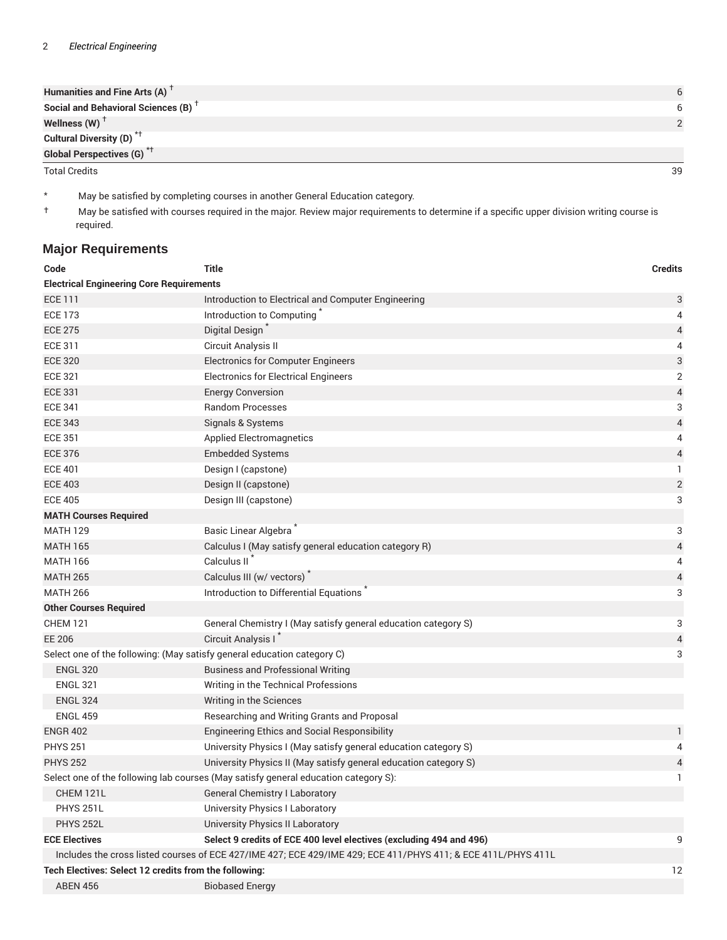| Humanities and Fine Arts (A) $T$                |  |
|-------------------------------------------------|--|
| Social and Behavioral Sciences (B) <sup>+</sup> |  |
| Wellness $(W)$ <sup>T</sup>                     |  |
| Cultural Diversity (D) <sup>*†</sup>            |  |
| Global Perspectives (G) <sup>*†</sup>           |  |

Total Credits 39

\* May be satisfied by completing courses in another General Education category.

† May be satisfied with courses required in the major. Review major requirements to determine if a specific upper division writing course is required.

### **Major Requirements**

| Code                                                                    | <b>Title</b>                                                                                                  | <b>Credits</b>          |  |  |
|-------------------------------------------------------------------------|---------------------------------------------------------------------------------------------------------------|-------------------------|--|--|
| <b>Electrical Engineering Core Requirements</b>                         |                                                                                                               |                         |  |  |
| <b>ECE 111</b>                                                          | Introduction to Electrical and Computer Engineering                                                           | 3                       |  |  |
| <b>ECE 173</b>                                                          | Introduction to Computing                                                                                     | 4                       |  |  |
| <b>ECE 275</b>                                                          | Digital Design                                                                                                | 4                       |  |  |
| <b>ECE 311</b>                                                          | Circuit Analysis II                                                                                           | 4                       |  |  |
| <b>ECE 320</b>                                                          | <b>Electronics for Computer Engineers</b>                                                                     | 3                       |  |  |
| <b>ECE 321</b>                                                          | <b>Electronics for Electrical Engineers</b>                                                                   | 2                       |  |  |
| <b>ECE 331</b>                                                          | <b>Energy Conversion</b>                                                                                      | 4                       |  |  |
| <b>ECE 341</b>                                                          | <b>Random Processes</b>                                                                                       | 3                       |  |  |
| <b>ECE 343</b>                                                          | Signals & Systems                                                                                             | 4                       |  |  |
| <b>ECE 351</b>                                                          | <b>Applied Electromagnetics</b>                                                                               | 4                       |  |  |
| <b>ECE 376</b>                                                          | <b>Embedded Systems</b>                                                                                       | 4                       |  |  |
| <b>ECE 401</b>                                                          | Design I (capstone)                                                                                           | 1                       |  |  |
| <b>ECE 403</b>                                                          | Design II (capstone)                                                                                          | $\overline{\mathbf{c}}$ |  |  |
| <b>ECE 405</b>                                                          | Design III (capstone)                                                                                         | 3                       |  |  |
| <b>MATH Courses Required</b>                                            |                                                                                                               |                         |  |  |
| <b>MATH 129</b>                                                         | Basic Linear Algebra                                                                                          | 3                       |  |  |
| <b>MATH 165</b>                                                         | Calculus I (May satisfy general education category R)                                                         | 4                       |  |  |
| <b>MATH 166</b>                                                         | Calculus II <sup>7</sup>                                                                                      | 4                       |  |  |
| <b>MATH 265</b>                                                         | Calculus III (w/ vectors)                                                                                     | 4                       |  |  |
| <b>MATH 266</b>                                                         | Introduction to Differential Equations                                                                        | 3                       |  |  |
| <b>Other Courses Required</b>                                           |                                                                                                               |                         |  |  |
| <b>CHEM 121</b>                                                         | General Chemistry I (May satisfy general education category S)                                                | 3                       |  |  |
| EE 206                                                                  | Circuit Analysis I                                                                                            | 4                       |  |  |
| Select one of the following: (May satisfy general education category C) |                                                                                                               | 3                       |  |  |
| <b>ENGL 320</b>                                                         | <b>Business and Professional Writing</b>                                                                      |                         |  |  |
| <b>ENGL 321</b>                                                         | Writing in the Technical Professions                                                                          |                         |  |  |
| <b>ENGL 324</b>                                                         | Writing in the Sciences                                                                                       |                         |  |  |
| <b>ENGL 459</b>                                                         | Researching and Writing Grants and Proposal                                                                   |                         |  |  |
| <b>ENGR 402</b>                                                         | <b>Engineering Ethics and Social Responsibility</b>                                                           | 1                       |  |  |
| <b>PHYS 251</b>                                                         | University Physics I (May satisfy general education category S)                                               | 4                       |  |  |
| <b>PHYS 252</b>                                                         | University Physics II (May satisfy general education category S)                                              | 4                       |  |  |
|                                                                         | Select one of the following lab courses (May satisfy general education category S):                           | 1                       |  |  |
| CHEM 121L                                                               | <b>General Chemistry   Laboratory</b>                                                                         |                         |  |  |
| <b>PHYS 251L</b>                                                        | University Physics I Laboratory                                                                               |                         |  |  |
| <b>PHYS 252L</b>                                                        | University Physics II Laboratory                                                                              |                         |  |  |
| <b>ECE Electives</b>                                                    | Select 9 credits of ECE 400 level electives (excluding 494 and 496)                                           | 9                       |  |  |
|                                                                         | Includes the cross listed courses of ECE 427/IME 427; ECE 429/IME 429; ECE 411/PHYS 411; & ECE 411L/PHYS 411L |                         |  |  |
| Tech Electives: Select 12 credits from the following:<br>12             |                                                                                                               |                         |  |  |
| <b>ABEN 456</b>                                                         | <b>Biobased Energy</b>                                                                                        |                         |  |  |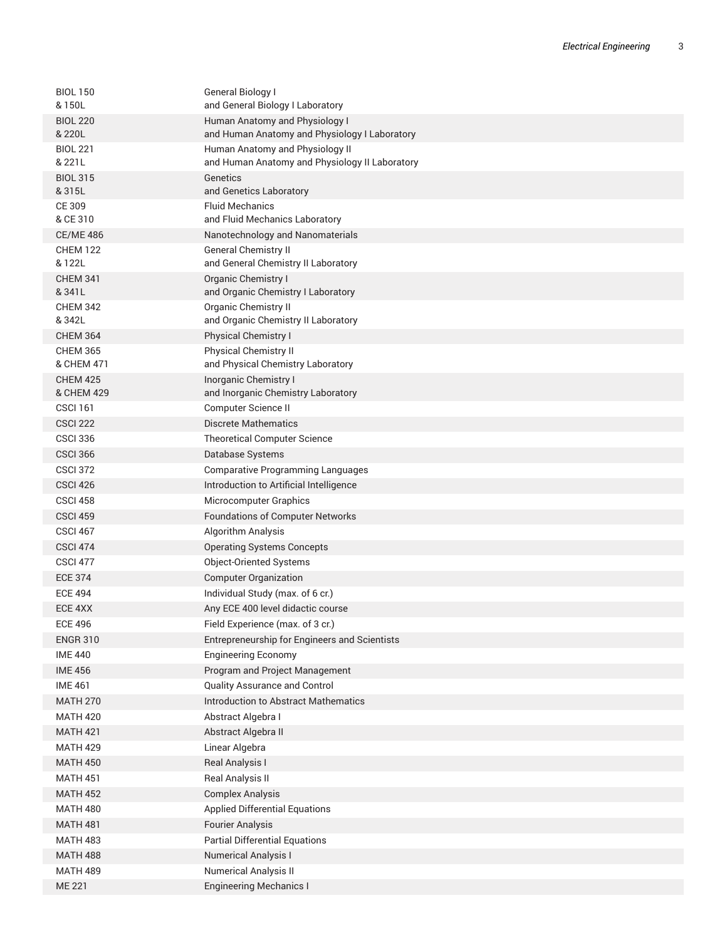| <b>BIOL 150</b><br>& 150L     | General Biology I<br>and General Biology I Laboratory                             |
|-------------------------------|-----------------------------------------------------------------------------------|
| <b>BIOL 220</b><br>& 220L     | Human Anatomy and Physiology I<br>and Human Anatomy and Physiology I Laboratory   |
| <b>BIOL 221</b><br>& 221L     | Human Anatomy and Physiology II<br>and Human Anatomy and Physiology II Laboratory |
| <b>BIOL 315</b><br>& 315L     | Genetics                                                                          |
| CE 309                        | and Genetics Laboratory<br><b>Fluid Mechanics</b>                                 |
| & CE 310                      | and Fluid Mechanics Laboratory                                                    |
| <b>CE/ME 486</b>              | Nanotechnology and Nanomaterials                                                  |
| <b>CHEM 122</b>               | <b>General Chemistry II</b>                                                       |
| & 122L                        | and General Chemistry II Laboratory                                               |
| <b>CHEM 341</b><br>& 341L     | Organic Chemistry I<br>and Organic Chemistry I Laboratory                         |
| <b>CHEM 342</b>               | <b>Organic Chemistry II</b>                                                       |
| & 342L                        | and Organic Chemistry II Laboratory                                               |
| <b>CHEM 364</b>               | Physical Chemistry I                                                              |
| <b>CHEM 365</b><br>& CHEM 471 | <b>Physical Chemistry II</b><br>and Physical Chemistry Laboratory                 |
| <b>CHEM 425</b><br>& CHEM 429 | Inorganic Chemistry I<br>and Inorganic Chemistry Laboratory                       |
| <b>CSCI 161</b>               | Computer Science II                                                               |
| <b>CSCI 222</b>               | <b>Discrete Mathematics</b>                                                       |
| <b>CSCI 336</b>               | <b>Theoretical Computer Science</b>                                               |
| <b>CSCI 366</b>               | Database Systems                                                                  |
| <b>CSCI 372</b>               | <b>Comparative Programming Languages</b>                                          |
| CSCI <sub>426</sub>           | Introduction to Artificial Intelligence                                           |
| CSCI 458                      | <b>Microcomputer Graphics</b>                                                     |
| <b>CSCI 459</b>               | <b>Foundations of Computer Networks</b>                                           |
| <b>CSCI 467</b>               | Algorithm Analysis                                                                |
| <b>CSCI 474</b>               | <b>Operating Systems Concepts</b>                                                 |
| <b>CSCI 477</b>               | Object-Oriented Systems                                                           |
| <b>ECE 374</b>                | <b>Computer Organization</b>                                                      |
| <b>ECE 494</b>                | Individual Study (max. of 6 cr.)                                                  |
| ECE 4XX                       | Any ECE 400 level didactic course                                                 |
| <b>ECE 496</b>                | Field Experience (max. of 3 cr.)                                                  |
| <b>ENGR 310</b>               | Entrepreneurship for Engineers and Scientists                                     |
| <b>IME 440</b>                | <b>Engineering Economy</b>                                                        |
| <b>IME 456</b>                | Program and Project Management                                                    |
| <b>IME 461</b>                | Quality Assurance and Control                                                     |
| <b>MATH 270</b>               | <b>Introduction to Abstract Mathematics</b>                                       |
| <b>MATH 420</b>               | Abstract Algebra I                                                                |
| <b>MATH 421</b>               | Abstract Algebra II                                                               |
| <b>MATH 429</b>               | Linear Algebra                                                                    |
| <b>MATH 450</b>               | Real Analysis I                                                                   |
| <b>MATH 451</b>               | Real Analysis II                                                                  |
| <b>MATH 452</b>               | <b>Complex Analysis</b>                                                           |
| <b>MATH 480</b>               | <b>Applied Differential Equations</b>                                             |
| <b>MATH 481</b>               | <b>Fourier Analysis</b>                                                           |
| <b>MATH 483</b>               | <b>Partial Differential Equations</b>                                             |
| <b>MATH 488</b>               | <b>Numerical Analysis I</b>                                                       |
| <b>MATH 489</b>               | <b>Numerical Analysis II</b>                                                      |
| <b>ME 221</b>                 | <b>Engineering Mechanics I</b>                                                    |